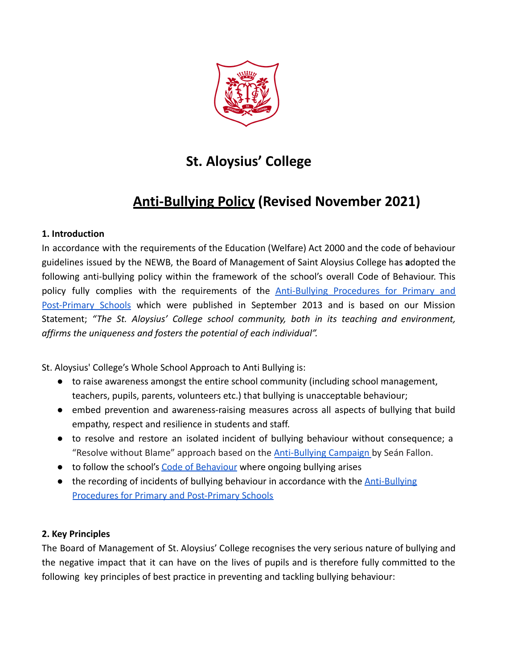

# **St. Aloysius' College**

# **Anti-Bullying Policy (Revised November 2021)**

### **1. Introduction**

In accordance with the requirements of the Education (Welfare) Act 2000 and the code of behaviour guidelines issued by the NEWB, the Board of Management of Saint Aloysius College has **a**dopted the following anti-bullying policy within the framework of the school's overall Code of Behaviour. This policy fully complies with the requirements of the **[Anti-Bullying](https://drive.google.com/file/d/1-aj4s1QbeL_Tcl2uKvJHmzb0KkPwBP65/view?usp=sharing) Procedures for Primary and** [Post-Primary](https://drive.google.com/file/d/1-aj4s1QbeL_Tcl2uKvJHmzb0KkPwBP65/view?usp=sharing) Schools which were published in September 2013 and is based on our Mission Statement; *"The St. Aloysius' College school community, both in its teaching and environment, affirms the uniqueness and fosters the potential of each individual".*

St. Aloysius' College's Whole School Approach to Anti Bullying is:

- to raise awareness amongst the entire school community (including school management, teachers, pupils, parents, volunteers etc.) that bullying is unacceptable behaviour;
- embed prevention and awareness-raising measures across all aspects of bullying that build empathy, respect and resilience in students and staff.
- to resolve and restore an isolated incident of bullying behaviour without consequence; a "Resolve without Blame" approach based on the **[Anti-Bullying](https://www.antibullyingcampaign.ie/) Campaign** by Seán Fallon.
- to follow the school's [Code of Behaviour](https://drive.google.com/file/d/1kln95TpUZ6FeI6JLilDwsrq3gc2kKc5E/view?usp=sharing) where ongoing bullying arises
- $\bullet$  the recording of incidents of bullying behaviour in accordance with the  $\Delta$ nti-Bullying [Procedures for Primary and Post-Primary Schools](https://drive.google.com/file/d/1-aj4s1QbeL_Tcl2uKvJHmzb0KkPwBP65/view?usp=sharing)

### **2. Key Principles**

The Board of Management of St. Aloysius' College recognises the very serious nature of bullying and the negative impact that it can have on the lives of pupils and is therefore fully committed to the following key principles of best practice in preventing and tackling bullying behaviour: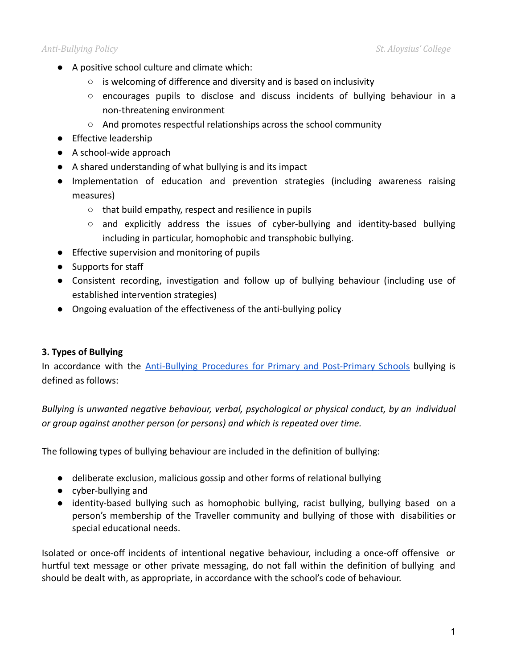- A positive school culture and climate which:
	- is welcoming of difference and diversity and is based on inclusivity
	- encourages pupils to disclose and discuss incidents of bullying behaviour in a non-threatening environment
	- And promotes respectful relationships across the school community
- Effective leadership
- A school-wide approach
- A shared understanding of what bullying is and its impact
- Implementation of education and prevention strategies (including awareness raising measures)
	- that build empathy, respect and resilience in pupils
	- $\circ$  and explicitly address the issues of cyber-bullying and identity-based bullying including in particular, homophobic and transphobic bullying.
- Effective supervision and monitoring of pupils
- Supports for staff
- Consistent recording, investigation and follow up of bullying behaviour (including use of established intervention strategies)
- Ongoing evaluation of the effectiveness of the anti-bullying policy

### **3. Types of Bullying**

In accordance with the **Anti-Bullying Procedures for Primary and [Post-Primary](https://drive.google.com/file/d/1-aj4s1QbeL_Tcl2uKvJHmzb0KkPwBP65/view?usp=sharing) Schools** bullying is defined as follows:

*Bullying is unwanted negative behaviour, verbal, psychological or physical conduct, by an individual or group against another person (or persons) and which is repeated over time.*

The following types of bullying behaviour are included in the definition of bullying:

- deliberate exclusion, malicious gossip and other forms of relational bullying
- cyber-bullying and
- identity-based bullying such as homophobic bullying, racist bullying, bullying based on a person's membership of the Traveller community and bullying of those with disabilities or special educational needs.

Isolated or once-off incidents of intentional negative behaviour, including a once-off offensive or hurtful text message or other private messaging, do not fall within the definition of bullying and should be dealt with, as appropriate, in accordance with the school's code of behaviour.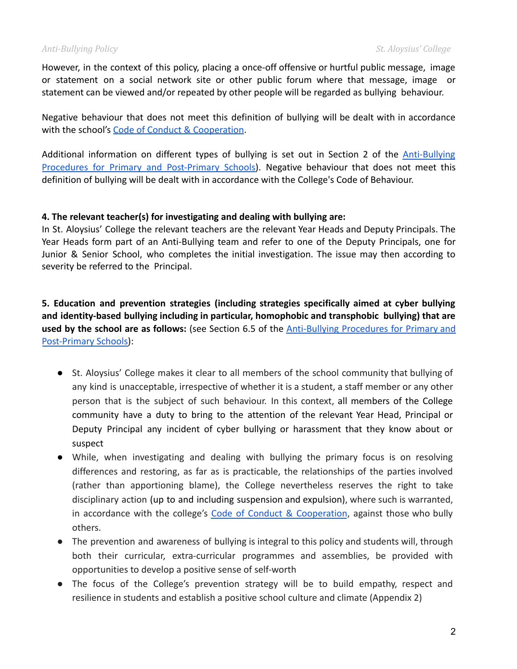However, in the context of this policy, placing a once-off offensive or hurtful public message, image or statement on a social network site or other public forum where that message, image or statement can be viewed and/or repeated by other people will be regarded as bullying behaviour.

Negative behaviour that does not meet this definition of bullying will be dealt with in accordance with the school's [Code of Conduct & Cooperation](https://drive.google.com/file/d/1kln95TpUZ6FeI6JLilDwsrq3gc2kKc5E/view?usp=sharing).

Additional information on different types of bullying is set out in Section 2 of the [Anti-Bullying](https://drive.google.com/file/d/1-aj4s1QbeL_Tcl2uKvJHmzb0KkPwBP65/view?usp=sharing) Procedures for Primary and [Post-Primary](https://drive.google.com/file/d/1-aj4s1QbeL_Tcl2uKvJHmzb0KkPwBP65/view?usp=sharing) Schools). Negative behaviour that does not meet this definition of bullying will be dealt with in accordance with the College's Code of Behaviour.

### **4. The relevant teacher(s) for investigating and dealing with bullying are:**

In St. Aloysius' College the relevant teachers are the relevant Year Heads and Deputy Principals. The Year Heads form part of an Anti-Bullying team and refer to one of the Deputy Principals, one for Junior & Senior School, who completes the initial investigation. The issue may then according to severity be referred to the Principal.

### **5. Education and prevention strategies (including strategies specifically aimed at cyber bullying and identity-based bullying including in particular, homophobic and transphobic bullying) that are used by the school are as follows:** (see Section 6.5 of the [Anti-Bullying](https://drive.google.com/file/d/1-aj4s1QbeL_Tcl2uKvJHmzb0KkPwBP65/view?usp=sharing) Procedures for Primary and [Post-Primary Schools\)](https://drive.google.com/file/d/1-aj4s1QbeL_Tcl2uKvJHmzb0KkPwBP65/view?usp=sharing):

- St. Aloysius' College makes it clear to all members of the school community that bullying of any kind is unacceptable, irrespective of whether it is a student, a staff member or any other person that is the subject of such behaviour. In this context, all members of the College community have a duty to bring to the attention of the relevant Year Head, Principal or Deputy Principal any incident of cyber bullying or harassment that they know about or suspect
- While, when investigating and dealing with bullying the primary focus is on resolving differences and restoring, as far as is practicable, the relationships of the parties involved (rather than apportioning blame), the College nevertheless reserves the right to take disciplinary action (up to and including suspension and expulsion), where such is warranted, in accordance with the college's Code of Conduct & [Cooperation](https://drive.google.com/file/d/1kln95TpUZ6FeI6JLilDwsrq3gc2kKc5E/view?usp=sharing), against those who bully others.
- The prevention and awareness of bullying is integral to this policy and students will, through both their curricular, extra-curricular programmes and assemblies, be provided with opportunities to develop a positive sense of self-worth
- The focus of the College's prevention strategy will be to build empathy, respect and resilience in students and establish a positive school culture and climate (Appendix 2)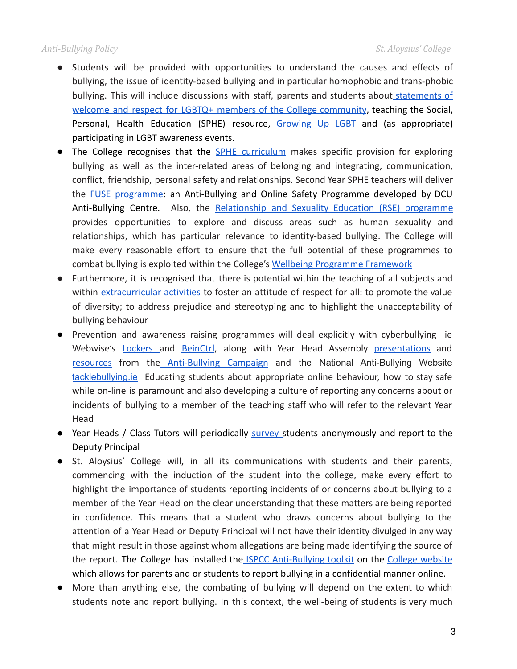### *Anti-Bullying Policy St. Aloysius' College*

- Students will be provided with opportunities to understand the causes and effects of bullying, the issue of identity-based bullying and in particular homophobic and trans-phobic bullying. This will include discussions with staff, parents and students about [statements](https://docs.google.com/presentation/d/1ijZuLLqAz3ra8g4QN77hKi56RHk_JuoGPIC7Nsg7Cpg/edit?usp=sharing) of welcome and respect for LGBTQ+ members of the College [community](https://docs.google.com/presentation/d/1ijZuLLqAz3ra8g4QN77hKi56RHk_JuoGPIC7Nsg7Cpg/edit?usp=sharing), teaching the Social, Personal, Health Education (SPHE) resource, [Growing](https://drive.google.com/file/d/1K85qaaK3OVMZC7mpVuZ3u3mCptM0bD3d/view?usp=sharing) Up LGBT and (as appropriate) participating in LGBT awareness events.
- The College recognises that the **SPHE [curriculum](https://sphe.ie/)** makes specific provision for exploring bullying as well as the inter-related areas of belonging and integrating, communication, conflict, friendship, personal safety and relationships. Second Year SPHE teachers will deliver the **FUSE [programme](https://antibullyingcentre.ie/fuse/):** an Anti-Bullying and Online Safety Programme developed by DCU Anti-Bullying Centre. Also, the [Relationship](https://b4udecide.ie/parents/rse-in-schools/) and Sexuality Education (RSE) programme provides opportunities to explore and discuss areas such as human sexuality and relationships, which has particular relevance to identity-based bullying. The College will make every reasonable effort to ensure that the full potential of these programmes to combat bullying is exploited within the College's [Wellbeing Programme Framework](https://drive.google.com/file/d/1NxuaKHRNG2jKQR_R_jt1hz_RL_rSNwzp/view?usp=sharing)
- Furthermore, it is recognised that there is potential within the teaching of all subjects and within [extracurricular](https://docs.google.com/document/d/1BErk_A7Imuoo4i0OjrQ2OLzqHgp-SvWHS5FLKY9ETmM/edit?usp=sharing) activities to foster an attitude of respect for all: to promote the value of diversity; to address prejudice and stereotyping and to highlight the unacceptability of bullying behaviour
- Prevention and awareness raising programmes will deal explicitly with cyberbullying ie Webwise's [Lockers](https://www.webwise.ie/lockers/) and [BeinCtrl](https://www.webwise.ie/beinctrl/), along with Year Head Assembly [presentations](https://drive.google.com/drive/folders/1tDi_UN9yq_FxmobD9yju0UPAhxzN_cen?usp=sharing) and [resources](https://www.antibullyingcampaign.ie/second-level-tools/strand-1) from the [Anti-Bullying](https://www.antibullyingcampaign.ie/) Campaign and the National Anti-Bullying Website [tacklebullying.ie](http://tacklebullying.ie/) Educating students about appropriate online behaviour, how to stay safe while on-line is paramount and also developing a culture of reporting any concerns about or incidents of bullying to a member of the teaching staff who will refer to the relevant Year Head
- Year Heads / Class Tutors will periodically [survey](https://forms.gle/HBTfQKQ21NWxings7) students anonymously and report to the Deputy Principal
- St. Aloysius' College will, in all its communications with students and their parents, commencing with the induction of the student into the college, make every effort to highlight the importance of students reporting incidents of or concerns about bullying to a member of the Year Head on the clear understanding that these matters are being reported in confidence. This means that a student who draws concerns about bullying to the attention of a Year Head or Deputy Principal will not have their identity divulged in any way that might result in those against whom allegations are being made identifying the source of the report. The College has installed the ISPCC [Anti-Bullying](https://docs.google.com/forms/d/e/1FAIpQLSfeWOxxTMtLL5Lq3g937bZLnEVw2q8ptm-EZszbtrzBPJccMw/viewform?hash=d257caeb6c4be9191eb109dd3ee691e8) toolkit on the College [website](https://www.saintals.ie/) which allows for parents and or students to report bullying in a confidential manner online.
- More than anything else, the combating of bullying will depend on the extent to which students note and report bullying. In this context, the well-being of students is very much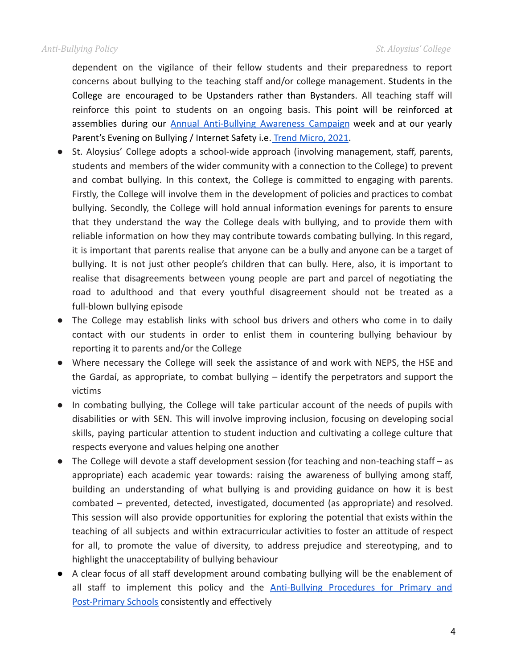dependent on the vigilance of their fellow students and their preparedness to report concerns about bullying to the teaching staff and/or college management. Students in the College are encouraged to be Upstanders rather than Bystanders. All teaching staff will reinforce this point to students on an ongoing basis. This point will be reinforced at assemblies during our **Annual [Anti-Bullying](https://padlet.com/e_collins1/47la1udhw2dv4akb) Awareness Campaign** week and at our yearly Parent's Evening on Bullying / Internet Safety i.e. [Trend Micro, 2021.](https://drive.google.com/file/d/1fOhGfzqf-MvZe5iOt-uzoUa1YClg28GC/view?usp=sharing)

- St. Aloysius' College adopts a school-wide approach (involving management, staff, parents, students and members of the wider community with a connection to the College) to prevent and combat bullying. In this context, the College is committed to engaging with parents. Firstly, the College will involve them in the development of policies and practices to combat bullying. Secondly, the College will hold annual information evenings for parents to ensure that they understand the way the College deals with bullying, and to provide them with reliable information on how they may contribute towards combating bullying. In this regard, it is important that parents realise that anyone can be a bully and anyone can be a target of bullying. It is not just other people's children that can bully. Here, also, it is important to realise that disagreements between young people are part and parcel of negotiating the road to adulthood and that every youthful disagreement should not be treated as a full-blown bullying episode
- The College may establish links with school bus drivers and others who come in to daily contact with our students in order to enlist them in countering bullying behaviour by reporting it to parents and/or the College
- Where necessary the College will seek the assistance of and work with NEPS, the HSE and the Gardaí, as appropriate, to combat bullying – identify the perpetrators and support the victims
- In combating bullying, the College will take particular account of the needs of pupils with disabilities or with SEN. This will involve improving inclusion, focusing on developing social skills, paying particular attention to student induction and cultivating a college culture that respects everyone and values helping one another
- The College will devote a staff development session (for teaching and non-teaching staff as appropriate) each academic year towards: raising the awareness of bullying among staff, building an understanding of what bullying is and providing guidance on how it is best combated – prevented, detected, investigated, documented (as appropriate) and resolved. This session will also provide opportunities for exploring the potential that exists within the teaching of all subjects and within extracurricular activities to foster an attitude of respect for all, to promote the value of diversity, to address prejudice and stereotyping, and to highlight the unacceptability of bullying behaviour
- A clear focus of all staff development around combating bullying will be the enablement of all staff to implement this policy and the [Anti-Bullying](https://drive.google.com/file/d/1-aj4s1QbeL_Tcl2uKvJHmzb0KkPwBP65/view?usp=sharing) Procedures for Primary and [Post-Primary Schools](https://drive.google.com/file/d/1-aj4s1QbeL_Tcl2uKvJHmzb0KkPwBP65/view?usp=sharing) consistently and effectively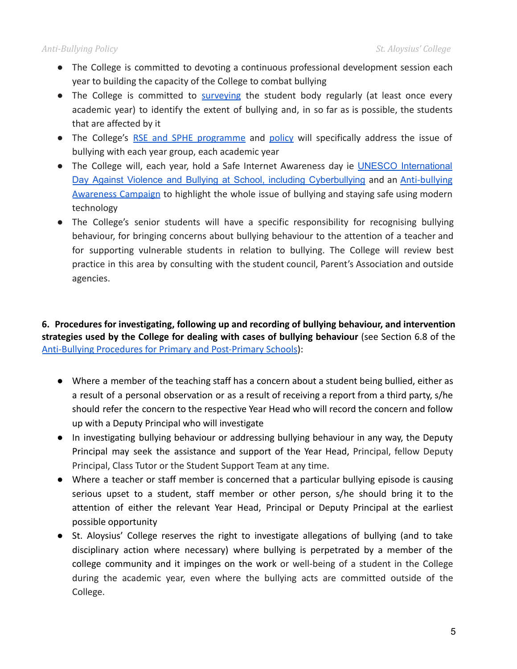- The College is committed to devoting a continuous professional development session each year to building the capacity of the College to combat bullying
- The College is committed to [surveying](https://forms.gle/X2FEZCtDbZfMwYGZ9) the student body regularly (at least once every academic year) to identify the extent of bullying and, in so far as is possible, the students that are affected by it
- The College's RSE and SPHE [programme](https://docs.google.com/document/d/1QguyKtABIzrk3Nk79K0pnqHEbHmjtMB92uvutLvxpUM/edit?usp=sharing) and [policy](https://docs.google.com/document/d/1f2-fUSGCxpCg4sxY4ZzyRzwSBs9jTQx1KULPGW9cg14/edit?usp=sharing) will specifically address the issue of bullying with each year group, each academic year
- The College will, each year, hold a Safe Internet Awareness day ie UNESCO [International](https://en.unesco.org/commemorations/dayagainstschoolviolenceandbullying) Day Against Violence and Bullying at School, including [Cyberbullying](https://en.unesco.org/commemorations/dayagainstschoolviolenceandbullying) and an [Anti-bullying](https://padlet.com/e_collins1/47la1udhw2dv4akb) [Awareness](https://padlet.com/e_collins1/47la1udhw2dv4akb) Campaign to highlight the whole issue of bullying and staying safe using modern technology
- The College's senior students will have a specific responsibility for recognising bullying behaviour, for bringing concerns about bullying behaviour to the attention of a teacher and for supporting vulnerable students in relation to bullying. The College will review best practice in this area by consulting with the student council, Parent's Association and outside agencies.

**6. Procedures for investigating, following up and recording of bullying behaviour, and intervention strategies used by the College for dealing with cases of bullying behaviour** (see Section 6.8 of the [Anti-Bullying Procedures for Primary and Post-Primary Schools](https://drive.google.com/file/d/1-aj4s1QbeL_Tcl2uKvJHmzb0KkPwBP65/view?usp=sharing)):

- Where a member of the teaching staff has a concern about a student being bullied, either as a result of a personal observation or as a result of receiving a report from a third party, s/he should refer the concern to the respective Year Head who will record the concern and follow up with a Deputy Principal who will investigate
- In investigating bullying behaviour or addressing bullying behaviour in any way, the Deputy Principal may seek the assistance and support of the Year Head, Principal, fellow Deputy Principal, Class Tutor or the Student Support Team at any time.
- Where a teacher or staff member is concerned that a particular bullying episode is causing serious upset to a student, staff member or other person, s/he should bring it to the attention of either the relevant Year Head, Principal or Deputy Principal at the earliest possible opportunity
- St. Aloysius' College reserves the right to investigate allegations of bullying (and to take disciplinary action where necessary) where bullying is perpetrated by a member of the college community and it impinges on the work or well-being of a student in the College during the academic year, even where the bullying acts are committed outside of the College.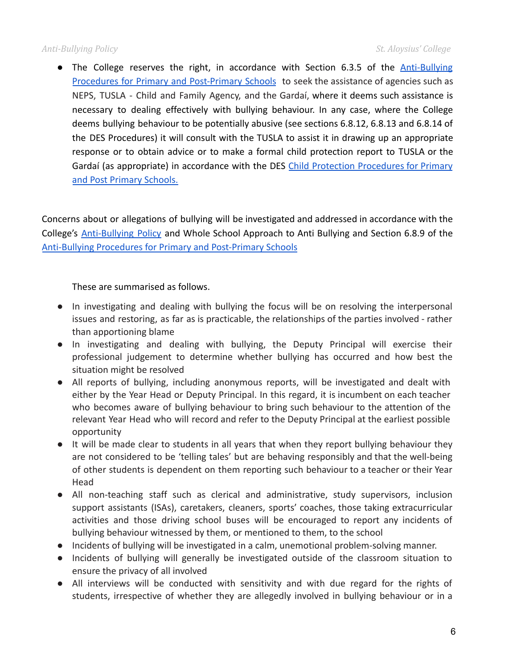• The College reserves the right, in accordance with Section 6.3.5 of the *[Anti-Bullying](https://drive.google.com/file/d/1-aj4s1QbeL_Tcl2uKvJHmzb0KkPwBP65/view?usp=sharing)* Procedures for Primary and [Post-Primary](https://drive.google.com/file/d/1-aj4s1QbeL_Tcl2uKvJHmzb0KkPwBP65/view?usp=sharing) Schools to seek the assistance of agencies such as NEPS, TUSLA - Child and Family Agency, and the Gardaí, where it deems such assistance is necessary to dealing effectively with bullying behaviour. In any case, where the College deems bullying behaviour to be potentially abusive (see sections 6.8.12, 6.8.13 and 6.8.14 of the DES Procedures) it will consult with the TUSLA to assist it in drawing up an appropriate response or to obtain advice or to make a formal child protection report to TUSLA or the Gardaí (as appropriate) in accordance with the DES Child Protection [Procedures](https://drive.google.com/file/d/1oby8Cs9qQp_7aguovD04fZeZchLFsMDF/view?usp=sharing) for Primary [and Post Primary Schools.](https://drive.google.com/file/d/1oby8Cs9qQp_7aguovD04fZeZchLFsMDF/view?usp=sharing)

Concerns about or allegations of bullying will be investigated and addressed in accordance with the College's [Anti-Bullying](https://docs.google.com/document/d/16xK24jZ6DGTcFrWrShzSL0OV7gwK6HMs_8M-pEVEKAU/edit?usp=sharing) Policy and Whole School Approach to Anti Bullying and Section 6.8.9 of the [Anti-Bullying Procedures for Primary and Post-Primary Schools](https://drive.google.com/file/d/1-aj4s1QbeL_Tcl2uKvJHmzb0KkPwBP65/view?usp=sharing)

These are summarised as follows.

- In investigating and dealing with bullying the focus will be on resolving the interpersonal issues and restoring, as far as is practicable, the relationships of the parties involved - rather than apportioning blame
- In investigating and dealing with bullying, the Deputy Principal will exercise their professional judgement to determine whether bullying has occurred and how best the situation might be resolved
- All reports of bullying, including anonymous reports, will be investigated and dealt with either by the Year Head or Deputy Principal. In this regard, it is incumbent on each teacher who becomes aware of bullying behaviour to bring such behaviour to the attention of the relevant Year Head who will record and refer to the Deputy Principal at the earliest possible opportunity
- It will be made clear to students in all years that when they report bullying behaviour they are not considered to be 'telling tales' but are behaving responsibly and that the well-being of other students is dependent on them reporting such behaviour to a teacher or their Year Head
- All non-teaching staff such as clerical and administrative, study supervisors, inclusion support assistants (ISAs), caretakers, cleaners, sports' coaches, those taking extracurricular activities and those driving school buses will be encouraged to report any incidents of bullying behaviour witnessed by them, or mentioned to them, to the school
- Incidents of bullying will be investigated in a calm, unemotional problem-solving manner.
- Incidents of bullying will generally be investigated outside of the classroom situation to ensure the privacy of all involved
- All interviews will be conducted with sensitivity and with due regard for the rights of students, irrespective of whether they are allegedly involved in bullying behaviour or in a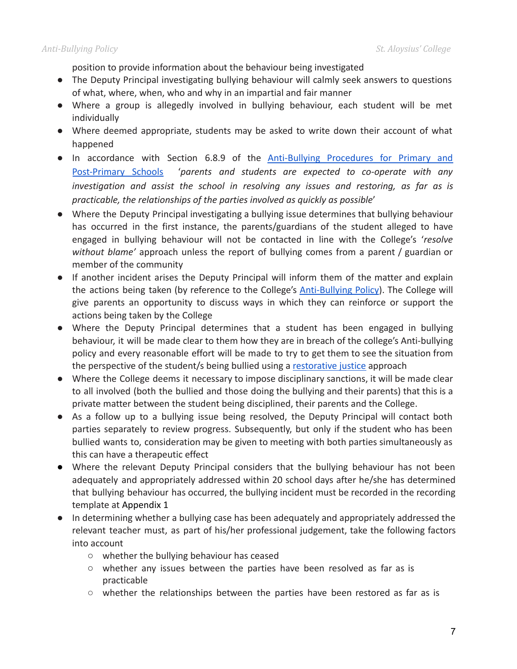position to provide information about the behaviour being investigated

- The Deputy Principal investigating bullying behaviour will calmly seek answers to questions of what, where, when, who and why in an impartial and fair manner
- Where a group is allegedly involved in bullying behaviour, each student will be met individually
- Where deemed appropriate, students may be asked to write down their account of what happened
- In accordance with Section 6.8.9 of the [Anti-Bullying](https://drive.google.com/file/d/1-aj4s1QbeL_Tcl2uKvJHmzb0KkPwBP65/view?usp=sharing) Procedures for Primary and [Post-Primary](https://drive.google.com/file/d/1-aj4s1QbeL_Tcl2uKvJHmzb0KkPwBP65/view?usp=sharing) Schools '*parents and students are expected to co-operate with any investigation and assist the school in resolving any issues and restoring, as far as is practicable, the relationships of the parties involved as quickly as possible*'
- Where the Deputy Principal investigating a bullying issue determines that bullying behaviour has occurred in the first instance, the parents/guardians of the student alleged to have engaged in bullying behaviour will not be contacted in line with the College's '*resolve without blame'* approach unless the report of bullying comes from a parent / guardian or member of the community
- If another incident arises the Deputy Principal will inform them of the matter and explain the actions being taken (by reference to the College's **[Anti-Bullying](https://docs.google.com/document/d/16xK24jZ6DGTcFrWrShzSL0OV7gwK6HMs_8M-pEVEKAU/edit?usp=sharing) Policy**). The College will give parents an opportunity to discuss ways in which they can reinforce or support the actions being taken by the College
- Where the Deputy Principal determines that a student has been engaged in bullying behaviour, it will be made clear to them how they are in breach of the college's Anti-bullying policy and every reasonable effort will be made to try to get them to see the situation from the perspective of the student/s being bullied using a [restorative justice](https://drive.google.com/file/d/1vTPYR-tAa6Q6ac49MQPnBRrgTHjUsfxR/view?usp=sharing) approach
- Where the College deems it necessary to impose disciplinary sanctions, it will be made clear to all involved (both the bullied and those doing the bullying and their parents) that this is a private matter between the student being disciplined, their parents and the College.
- As a follow up to a bullying issue being resolved, the Deputy Principal will contact both parties separately to review progress. Subsequently, but only if the student who has been bullied wants to, consideration may be given to meeting with both parties simultaneously as this can have a therapeutic effect
- Where the relevant Deputy Principal considers that the bullying behaviour has not been adequately and appropriately addressed within 20 school days after he/she has determined that bullying behaviour has occurred, the bullying incident must be recorded in the recording template at Appendix 1
- In determining whether a bullying case has been adequately and appropriately addressed the relevant teacher must, as part of his/her professional judgement, take the following factors into account
	- whether the bullying behaviour has ceased
	- whether any issues between the parties have been resolved as far as is practicable
	- $\circ$  whether the relationships between the parties have been restored as far as is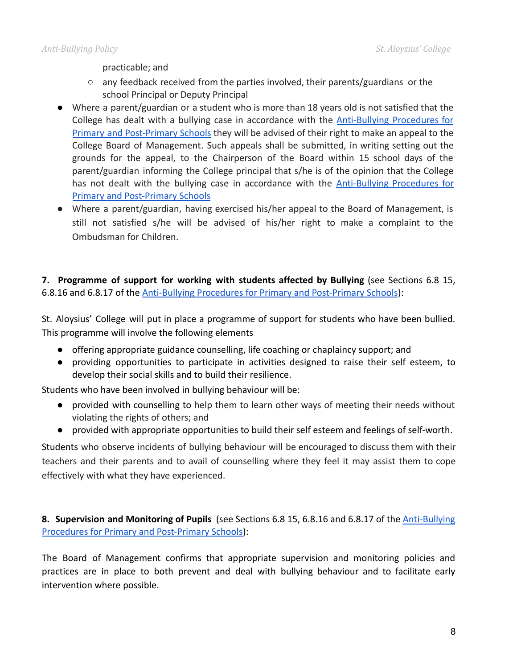practicable; and

- $\circ$  any feedback received from the parties involved, their parents/guardians or the school Principal or Deputy Principal
- Where a parent/guardian or a student who is more than 18 years old is not satisfied that the College has dealt with a bullying case in accordance with the **[Anti-Bullying](https://drive.google.com/file/d/1-aj4s1QbeL_Tcl2uKvJHmzb0KkPwBP65/view?usp=sharing) Procedures for** Primary and [Post-Primary](https://drive.google.com/file/d/1-aj4s1QbeL_Tcl2uKvJHmzb0KkPwBP65/view?usp=sharing) Schools they will be advised of their right to make an appeal to the College Board of Management. Such appeals shall be submitted, in writing setting out the grounds for the appeal, to the Chairperson of the Board within 15 school days of the parent/guardian informing the College principal that s/he is of the opinion that the College has not dealt with the bullying case in accordance with the **[Anti-Bullying](https://drive.google.com/file/d/1-aj4s1QbeL_Tcl2uKvJHmzb0KkPwBP65/view?usp=sharing) Procedures for** [Primary and Post-Primary Schools](https://drive.google.com/file/d/1-aj4s1QbeL_Tcl2uKvJHmzb0KkPwBP65/view?usp=sharing)
- Where a parent/guardian, having exercised his/her appeal to the Board of Management, is still not satisfied s/he will be advised of his/her right to make a complaint to the Ombudsman for Children.

**7. Programme of support for working with students affected by Bullying** (see Sections 6.8 15, 6.8.16 and 6.8.17 of the Anti-Bullying Procedures [for Primary and Post-Primary Schools](https://drive.google.com/file/d/1-aj4s1QbeL_Tcl2uKvJHmzb0KkPwBP65/view?usp=sharing)):

St. Aloysius' College will put in place a programme of support for students who have been bullied. This programme will involve the following elements

- offering appropriate guidance counselling, life coaching or chaplaincy support; and
- providing opportunities to participate in activities designed to raise their self esteem, to develop their social skills and to build their resilience.

Students who have been involved in bullying behaviour will be:

- provided with counselling to help them to learn other ways of meeting their needs without violating the rights of others; and
- provided with appropriate opportunities to build their self esteem and feelings of self-worth.

Students who observe incidents of bullying behaviour will be encouraged to discuss them with their teachers and their parents and to avail of counselling where they feel it may assist them to cope effectively with what they have experienced.

**8. Supervision and Monitoring of Pupils** (see Sections 6.8 15, 6.8.16 and 6.8.17 of the [Anti-Bullying](https://drive.google.com/file/d/1-aj4s1QbeL_Tcl2uKvJHmzb0KkPwBP65/view?usp=sharing) [Procedures for Primary and Post-Primary Schools\)](https://drive.google.com/file/d/1-aj4s1QbeL_Tcl2uKvJHmzb0KkPwBP65/view?usp=sharing):

The Board of Management confirms that appropriate supervision and monitoring policies and practices are in place to both prevent and deal with bullying behaviour and to facilitate early intervention where possible.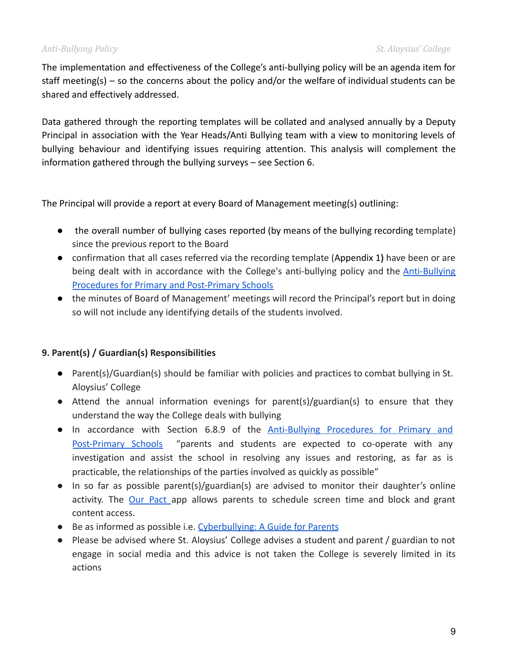### *Anti-Bullying Policy St. Aloysius' College*

The implementation and effectiveness of the College's anti-bullying policy will be an agenda item for staff meeting(s) – so the concerns about the policy and/or the welfare of individual students can be shared and effectively addressed.

Data gathered through the reporting templates will be collated and analysed annually by a Deputy Principal in association with the Year Heads/Anti Bullying team with a view to monitoring levels of bullying behaviour and identifying issues requiring attention. This analysis will complement the information gathered through the bullying surveys – see Section 6.

The Principal will provide a report at every Board of Management meeting(s) outlining:

- the overall number of bullying cases reported (by means of the bullying recording template) since the previous report to the Board
- confirmation that all cases referred via the recording template (Appendix 1**)** have been or are being dealt with in accordance with the College's anti-bullying policy and the [Anti-Bullying](https://drive.google.com/file/d/1-aj4s1QbeL_Tcl2uKvJHmzb0KkPwBP65/view?usp=sharing) [Procedures for Primary and Post-Primary Schools](https://drive.google.com/file/d/1-aj4s1QbeL_Tcl2uKvJHmzb0KkPwBP65/view?usp=sharing)
- the minutes of Board of Management' meetings will record the Principal's report but in doing so will not include any identifying details of the students involved.

### **9. Parent(s) / Guardian(s) Responsibilities**

- Parent(s)/Guardian(s) should be familiar with policies and practices to combat bullying in St. Aloysius' College
- Attend the annual information evenings for parent(s)/guardian(s) to ensure that they understand the way the College deals with bullying
- In accordance with Section 6.8.9 of the [Anti-Bullying](https://drive.google.com/file/d/1-aj4s1QbeL_Tcl2uKvJHmzb0KkPwBP65/view?usp=sharing) Procedures for Primary and [Post-Primary](https://drive.google.com/file/d/1-aj4s1QbeL_Tcl2uKvJHmzb0KkPwBP65/view?usp=sharing) Schools "parents and students are expected to co-operate with any investigation and assist the school in resolving any issues and restoring, as far as is practicable, the relationships of the parties involved as quickly as possible"
- In so far as possible parent(s)/guardian(s) are advised to monitor their daughter's online activity. The Our [Pact](https://ourpact.com/) app allows parents to schedule screen time and block and grant content access.
- Be as informed as possible i.e. [Cyberbullying: A Guide](https://www.webwise.ie/parents/cyberbullying-a-guide-2/) for Parents
- Please be advised where St. Aloysius' College advises a student and parent / guardian to not engage in social media and this advice is not taken the College is severely limited in its actions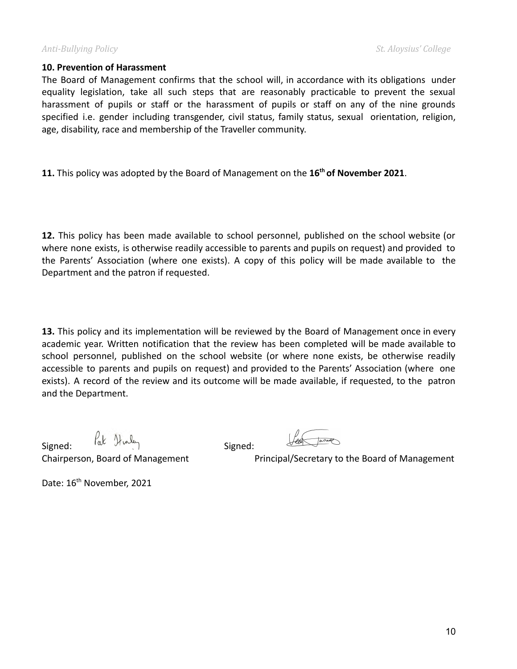### **10. Prevention of Harassment**

The Board of Management confirms that the school will, in accordance with its obligations under equality legislation, take all such steps that are reasonably practicable to prevent the sexual harassment of pupils or staff or the harassment of pupils or staff on any of the nine grounds specified i.e. gender including transgender, civil status, family status, sexual orientation, religion, age, disability, race and membership of the Traveller community.

**11.** This policy was adopted by the Board of Management on the **16th of November 2021**.

**12.** This policy has been made available to school personnel, published on the school website (or where none exists, is otherwise readily accessible to parents and pupils on request) and provided to the Parents' Association (where one exists). A copy of this policy will be made available to the Department and the patron if requested.

**13.** This policy and its implementation will be reviewed by the Board of Management once in every academic year. Written notification that the review has been completed will be made available to school personnel, published on the school website (or where none exists, be otherwise readily accessible to parents and pupils on request) and provided to the Parents' Association (where one exists). A record of the review and its outcome will be made available, if requested, to the patron and the Department.

 $Signed:$   $\int_{\alpha}^{R} \mathcal{Y}_{\alpha}$   $\int_{\alpha}^{R}$   $\int_{\alpha}^{R} \mathcal{Y}_{\alpha}$   $\int_{\alpha}^{R}$   $\int_{\alpha}^{R}$   $Signed:$ 

Chairperson, Board of Management Principal/Secretary to the Board of Management

Date: 16<sup>th</sup> November, 2021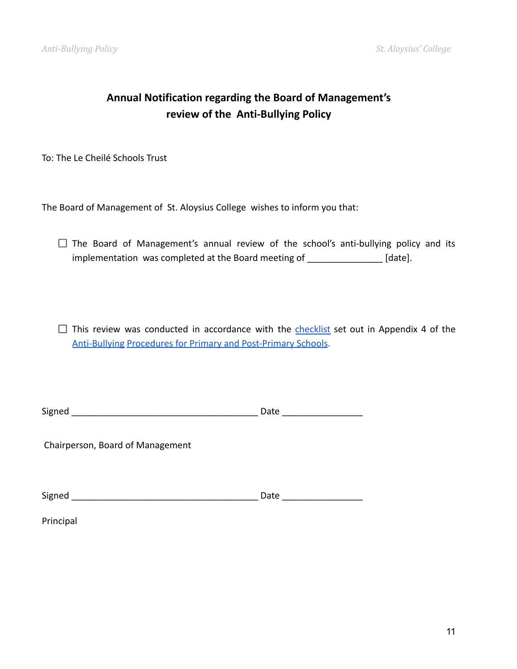## **Annual Notification regarding the Board of Management's review of the Anti-Bullying Policy**

To: The Le Cheilé Schools Trust

The Board of Management of St. Aloysius College wishes to inform you that:

 $\Box$  The Board of Management's annual review of the school's anti-bullying policy and its implementation was completed at the Board meeting of \_\_\_\_\_\_\_\_\_\_\_\_\_\_\_ [date].

 $\Box$  This review was conducted in accordance with the [checklist](https://docs.google.com/document/d/1KwxXeO5giJavws683DBz12Q6_5zcJyaNacqYXVXxwRo/edit) set out in Appendix 4 of the Anti-Bullying [Procedures for Primary and Post-Primary](https://drive.google.com/file/d/1-aj4s1QbeL_Tcl2uKvJHmzb0KkPwBP65/view?usp=sharing) Schools.

Chairperson, Board of Management

Signed \_\_\_\_\_\_\_\_\_\_\_\_\_\_\_\_\_\_\_\_\_\_\_\_\_\_\_\_\_\_\_\_\_\_\_\_\_ Date \_\_\_\_\_\_\_\_\_\_\_\_\_\_\_\_

Principal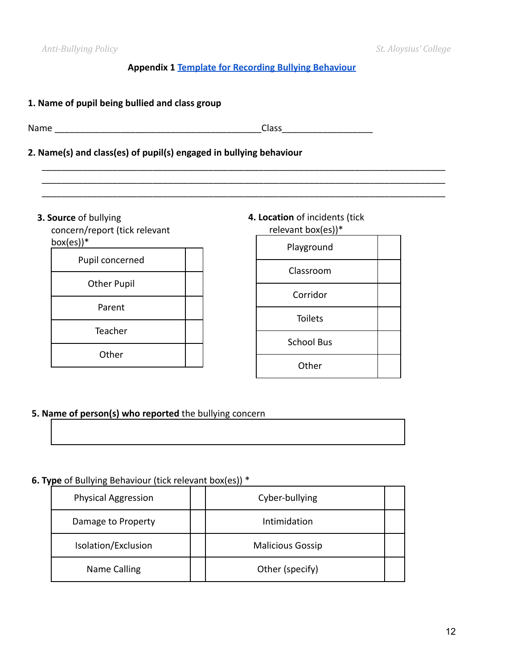### **Appendix 1 [Template for Recording Bullying Behaviour](https://drive.google.com/file/d/1yQ1uBrZtUeHvwQnlik0m98wBNACftA2R/view?usp=sharing)**

\_\_\_\_\_\_\_\_\_\_\_\_\_\_\_\_\_\_\_\_\_\_\_\_\_\_\_\_\_\_\_\_\_\_\_\_\_\_\_\_\_\_\_\_\_\_\_\_\_\_\_\_\_\_\_\_\_\_\_\_\_\_\_\_\_\_\_\_\_\_\_\_\_\_\_\_\_\_\_\_ \_\_\_\_\_\_\_\_\_\_\_\_\_\_\_\_\_\_\_\_\_\_\_\_\_\_\_\_\_\_\_\_\_\_\_\_\_\_\_\_\_\_\_\_\_\_\_\_\_\_\_\_\_\_\_\_\_\_\_\_\_\_\_\_\_\_\_\_\_\_\_\_\_\_\_\_\_\_\_\_ \_\_\_\_\_\_\_\_\_\_\_\_\_\_\_\_\_\_\_\_\_\_\_\_\_\_\_\_\_\_\_\_\_\_\_\_\_\_\_\_\_\_\_\_\_\_\_\_\_\_\_\_\_\_\_\_\_\_\_\_\_\_\_\_\_\_\_\_\_\_\_\_\_\_\_\_\_\_\_\_

### **1. Name of pupil being bullied and class group**

Name \_\_\_\_\_\_\_\_\_\_\_\_\_\_\_\_\_\_\_\_\_\_\_\_\_\_\_\_\_\_\_\_\_\_\_\_\_\_\_\_\_Class\_\_\_\_\_\_\_\_\_\_\_\_\_\_\_\_\_\_

### **2. Name(s) and class(es) of pupil(s) engaged in bullying behaviour**

**3. Source** of bullying

concern/report (tick relevant  $box(es))$ \*

| Pupil concerned    |  |  |
|--------------------|--|--|
| <b>Other Pupil</b> |  |  |
| Parent             |  |  |
| Teacher            |  |  |
| Other              |  |  |
|                    |  |  |

### **4. Location** of incidents (tick relevant box(es))\*

| Playground        |  |
|-------------------|--|
| Classroom         |  |
| Corridor          |  |
| <b>Toilets</b>    |  |
| <b>School Bus</b> |  |
| Other             |  |

### **5. Name of person(s) who reported** the bullying concern

### **6. Type** of Bullying Behaviour (tick relevant box(es)) \*

| <b>Physical Aggression</b> | Cyber-bullying          |  |
|----------------------------|-------------------------|--|
| Damage to Property         | Intimidation            |  |
| Isolation/Exclusion        | <b>Malicious Gossip</b> |  |
| Name Calling               | Other (specify)         |  |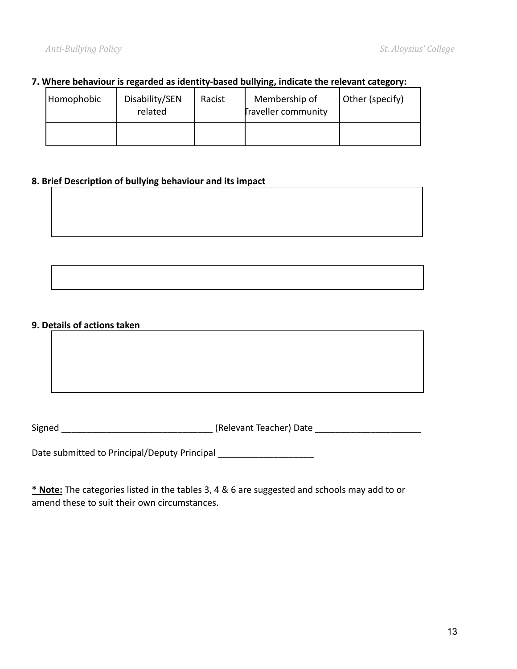### **7. Where behaviour is regarded as identity-based bullying, indicate the relevant category:**

| Homophobic | Disability/SEN<br>related | Racist | Membership of<br><b>Traveller community</b> | Other (specify) |
|------------|---------------------------|--------|---------------------------------------------|-----------------|
|            |                           |        |                                             |                 |

### **8. Brief Description of bullying behaviour and its impact**

### **9. Details of actions taken**

Signed \_\_\_\_\_\_\_\_\_\_\_\_\_\_\_\_\_\_\_\_\_\_\_\_\_\_\_\_\_\_ (Relevant Teacher) Date \_\_\_\_\_\_\_\_\_\_\_\_\_\_\_\_\_\_\_\_\_

Date submitted to Principal/Deputy Principal \_\_\_\_\_\_\_\_\_\_\_\_\_\_\_\_\_\_\_\_\_\_\_

**\* Note:** The categories listed in the tables 3, 4 & 6 are suggested and schools may add to or amend these to suit their own circumstances.